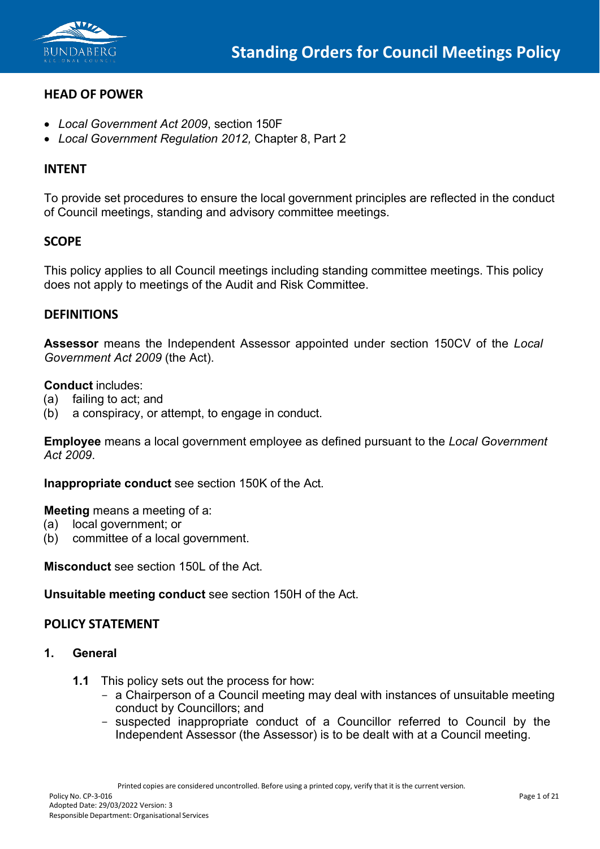

# **HEAD OF POWER**

- *Local Government Act 2009*, section 150F
- *Local Government Regulation 2012,* Chapter 8, Part 2

# **INTENT**

To provide set procedures to ensure the local government principles are reflected in the conduct of Council meetings, standing and advisory committee meetings.

## **SCOPE**

This policy applies to all Council meetings including standing committee meetings. This policy does not apply to meetings of the Audit and Risk Committee.

### **DEFINITIONS**

**Assessor** means the Independent Assessor appointed under section 150CV of the *Local Government Act 2009* (the Act).

#### **Conduct** includes:

- (a) failing to act; and
- (b) a conspiracy, or attempt, to engage in conduct.

**Employee** means a local government employee as defined pursuant to the *Local Government Act 2009*.

**Inappropriate conduct** see section 150K of the Act.

**Meeting** means a meeting of a:

- (a) local government; or
- (b) committee of a local government.

**Misconduct** see section 150L of the Act.

**Unsuitable meeting conduct** see section 150H of the Act.

### **POLICY STATEMENT**

#### **1. General**

- **1.1** This policy sets out the process for how:
	- a Chairperson of a Council meeting may deal with instances of unsuitable meeting conduct by Councillors; and
	- suspected inappropriate conduct of a Councillor referred to Council by the Independent Assessor (the Assessor) is to be dealt with at a Council meeting.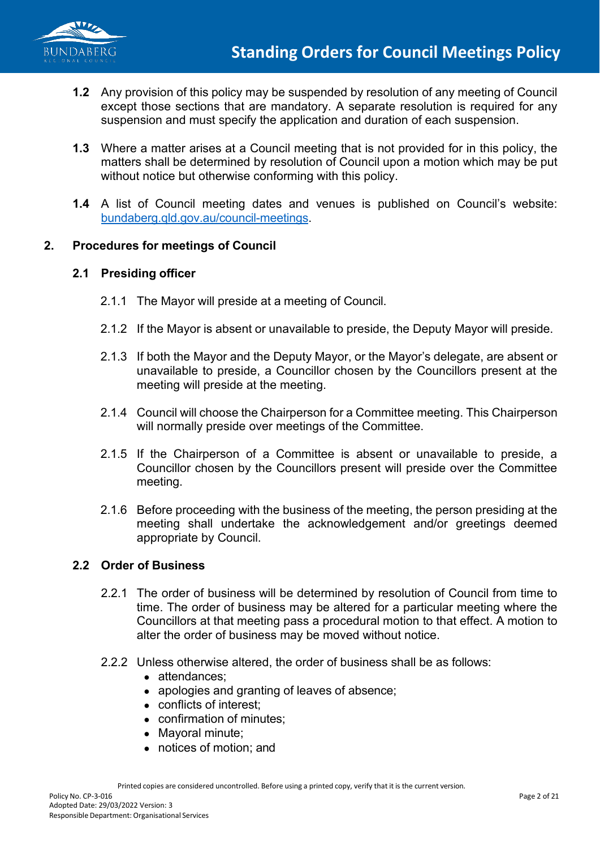

- **1.2** Any provision of this policy may be suspended by resolution of any meeting of Council except those sections that are mandatory. A separate resolution is required for any suspension and must specify the application and duration of each suspension.
- **1.3** Where a matter arises at a Council meeting that is not provided for in this policy, the matters shall be determined by resolution of Council upon a motion which may be put without notice but otherwise conforming with this policy.
- **1.4** A list of Council meeting dates and venues is published on Council's website: [bundaberg.qld.gov.au/council-meetings.](https://www.bundaberg.qld.gov.au/council-meetings)

## **2. Procedures for meetings of Council**

### **2.1 Presiding officer**

- 2.1.1 The Mayor will preside at a meeting of Council.
- 2.1.2 If the Mayor is absent or unavailable to preside, the Deputy Mayor will preside.
- 2.1.3 If both the Mayor and the Deputy Mayor, or the Mayor's delegate, are absent or unavailable to preside, a Councillor chosen by the Councillors present at the meeting will preside at the meeting.
- 2.1.4 Council will choose the Chairperson for a Committee meeting. This Chairperson will normally preside over meetings of the Committee.
- 2.1.5 If the Chairperson of a Committee is absent or unavailable to preside, a Councillor chosen by the Councillors present will preside over the Committee meeting.
- 2.1.6 Before proceeding with the business of the meeting, the person presiding at the meeting shall undertake the acknowledgement and/or greetings deemed appropriate by Council.

### **2.2 Order of Business**

- 2.2.1 The order of business will be determined by resolution of Council from time to time. The order of business may be altered for a particular meeting where the Councillors at that meeting pass a procedural motion to that effect. A motion to alter the order of business may be moved without notice.
- 2.2.2 Unless otherwise altered, the order of business shall be as follows:
	- attendances;
	- apologies and granting of leaves of absence;
	- conflicts of interest;
	- confirmation of minutes;
	- Mayoral minute;
	- notices of motion; and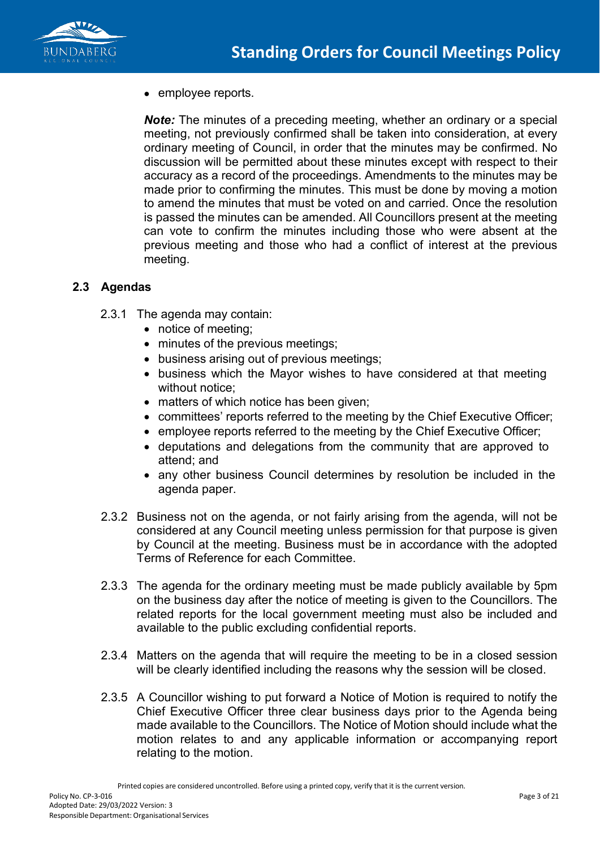

• employee reports.

*Note:* The minutes of a preceding meeting, whether an ordinary or a special meeting, not previously confirmed shall be taken into consideration, at every ordinary meeting of Council, in order that the minutes may be confirmed. No discussion will be permitted about these minutes except with respect to their accuracy as a record of the proceedings. Amendments to the minutes may be made prior to confirming the minutes. This must be done by moving a motion to amend the minutes that must be voted on and carried. Once the resolution is passed the minutes can be amended. All Councillors present at the meeting can vote to confirm the minutes including those who were absent at the previous meeting and those who had a conflict of interest at the previous meeting.

## **2.3 Agendas**

- 2.3.1 The agenda may contain:
	- notice of meeting;
	- minutes of the previous meetings;
	- business arising out of previous meetings;
	- business which the Mayor wishes to have considered at that meeting without notice;
	- matters of which notice has been given;
	- committees' reports referred to the meeting by the Chief Executive Officer;
	- employee reports referred to the meeting by the Chief Executive Officer;
	- deputations and delegations from the community that are approved to attend; and
	- any other business Council determines by resolution be included in the agenda paper.
- 2.3.2 Business not on the agenda, or not fairly arising from the agenda, will not be considered at any Council meeting unless permission for that purpose is given by Council at the meeting. Business must be in accordance with the adopted Terms of Reference for each Committee.
- 2.3.3 The agenda for the ordinary meeting must be made publicly available by 5pm on the business day after the notice of meeting is given to the Councillors. The related reports for the local government meeting must also be included and available to the public excluding confidential reports.
- 2.3.4 Matters on the agenda that will require the meeting to be in a closed session will be clearly identified including the reasons why the session will be closed.
- 2.3.5 A Councillor wishing to put forward a Notice of Motion is required to notify the Chief Executive Officer three clear business days prior to the Agenda being made available to the Councillors. The Notice of Motion should include what the motion relates to and any applicable information or accompanying report relating to the motion.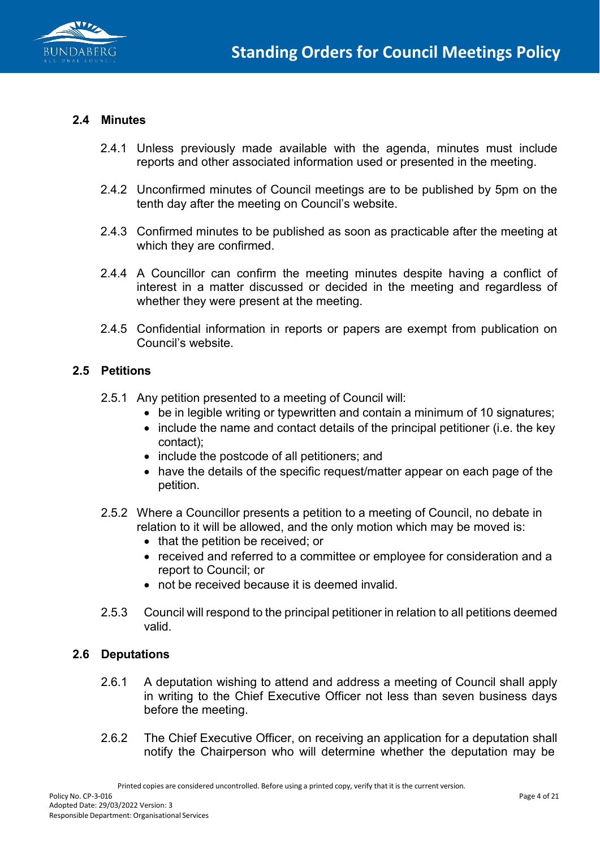

### **2.4 Minutes**

- 2.4.1 Unless previously made available with the agenda, minutes must include reports and other associated information used or presented in the meeting.
- 2.4.2 Unconfirmed minutes of Council meetings are to be published by 5pm on the tenth day after the meeting on Council's website.
- 2.4.3 Confirmed minutes to be published as soon as practicable after the meeting at which they are confirmed.
- 2.4.4 A Councillor can confirm the meeting minutes despite having a conflict of interest in a matter discussed or decided in the meeting and regardless of whether they were present at the meeting.
- 2.4.5 Confidential information in reports or papers are exempt from publication on Council's website.

#### **2.5 Petitions**

- 2.5.1 Any petition presented to a meeting of Council will:
	- be in legible writing or typewritten and contain a minimum of 10 signatures;
	- include the name and contact details of the principal petitioner (i.e. the key contact);
	- include the postcode of all petitioners; and
	- have the details of the specific request/matter appear on each page of the petition.
- 2.5.2 Where a Councillor presents a petition to a meeting of Council, no debate in relation to it will be allowed, and the only motion which may be moved is:
	- that the petition be received; or
	- received and referred to a committee or employee for consideration and a report to Council; or
	- not be received because it is deemed invalid.
- 2.5.3 Council will respond to the principal petitioner in relation to all petitions deemed valid.

### **2.6 Deputations**

- 2.6.1 A deputation wishing to attend and address a meeting of Council shall apply in writing to the Chief Executive Officer not less than seven business days before the meeting.
- 2.6.2 The Chief Executive Officer, on receiving an application for a deputation shall notify the Chairperson who will determine whether the deputation may be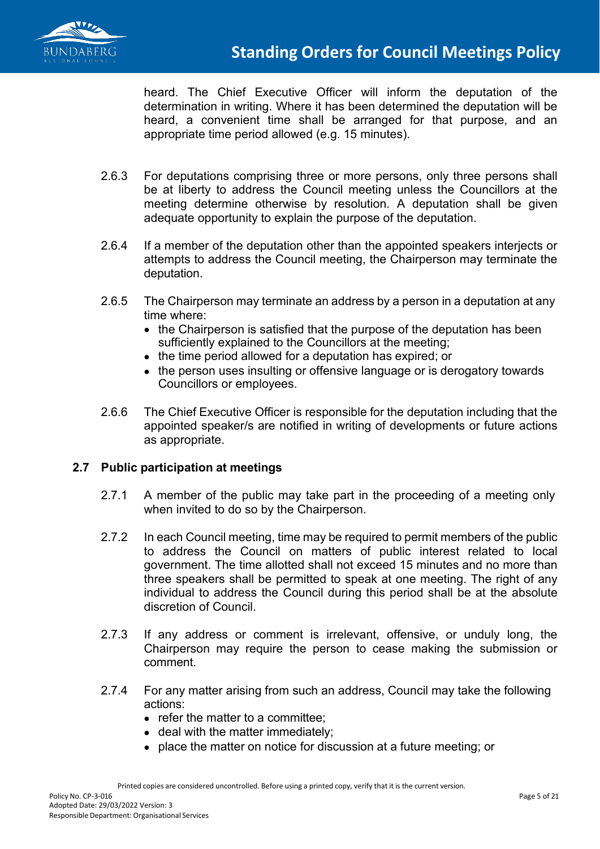

heard. The Chief Executive Officer will inform the deputation of the determination in writing. Where it has been determined the deputation will be heard, a convenient time shall be arranged for that purpose, and an appropriate time period allowed (e.g. 15 minutes).

- 2.6.3 For deputations comprising three or more persons, only three persons shall be at liberty to address the Council meeting unless the Councillors at the meeting determine otherwise by resolution. A deputation shall be given adequate opportunity to explain the purpose of the deputation.
- 2.6.4 If a member of the deputation other than the appointed speakers interjects or attempts to address the Council meeting, the Chairperson may terminate the deputation.
- 2.6.5 The Chairperson may terminate an address by a person in a deputation at any time where:
	- the Chairperson is satisfied that the purpose of the deputation has been sufficiently explained to the Councillors at the meeting;
	- the time period allowed for a deputation has expired; or
	- the person uses insulting or offensive language or is derogatory towards Councillors or employees.
- 2.6.6 The Chief Executive Officer is responsible for the deputation including that the appointed speaker/s are notified in writing of developments or future actions as appropriate.

# **2.7 Public participation at meetings**

- 2.7.1 A member of the public may take part in the proceeding of a meeting only when invited to do so by the Chairperson.
- 2.7.2 In each Council meeting, time may be required to permit members of the public to address the Council on matters of public interest related to local government. The time allotted shall not exceed 15 minutes and no more than three speakers shall be permitted to speak at one meeting. The right of any individual to address the Council during this period shall be at the absolute discretion of Council.
- 2.7.3 If any address or comment is irrelevant, offensive, or unduly long, the Chairperson may require the person to cease making the submission or comment.
- 2.7.4 For any matter arising from such an address, Council may take the following actions:
	- refer the matter to a committee;
	- deal with the matter immediately;
	- place the matter on notice for discussion at a future meeting; or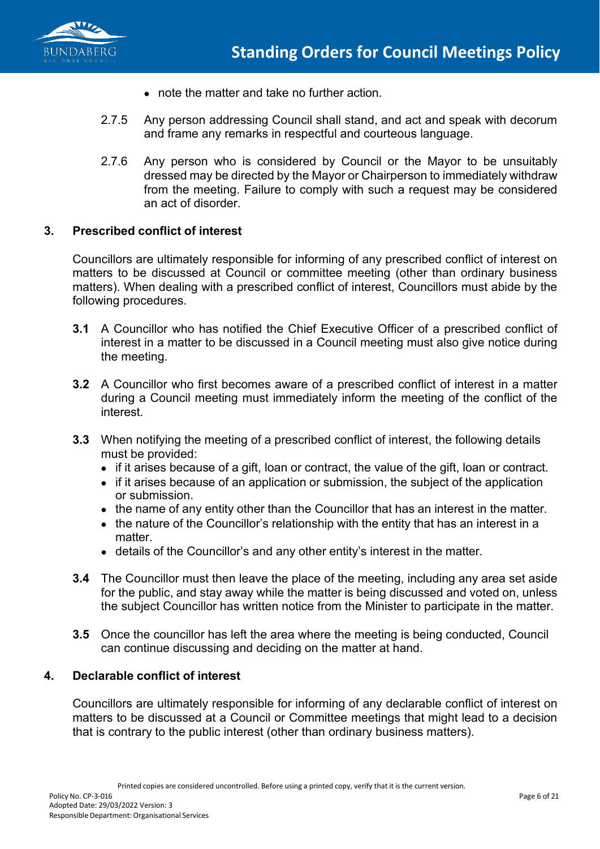

- note the matter and take no further action.
- 2.7.5 Any person addressing Council shall stand, and act and speak with decorum and frame any remarks in respectful and courteous language.
- 2.7.6 Any person who is considered by Council or the Mayor to be unsuitably dressed may be directed by the Mayor or Chairperson to immediately withdraw from the meeting. Failure to comply with such a request may be considered an act of disorder.

#### **3. Prescribed conflict of interest**

Councillors are ultimately responsible for informing of any prescribed conflict of interest on matters to be discussed at Council or committee meeting (other than ordinary business matters). When dealing with a prescribed conflict of interest, Councillors must abide by the following procedures.

- **3.1** A Councillor who has notified the Chief Executive Officer of a prescribed conflict of interest in a matter to be discussed in a Council meeting must also give notice during the meeting.
- **3.2** A Councillor who first becomes aware of a prescribed conflict of interest in a matter during a Council meeting must immediately inform the meeting of the conflict of the interest.
- **3.3** When notifying the meeting of a prescribed conflict of interest, the following details must be provided:
	- if it arises because of a gift, loan or contract, the value of the gift, loan or contract.
	- if it arises because of an application or submission, the subject of the application or submission.
	- the name of any entity other than the Councillor that has an interest in the matter.
	- the nature of the Councillor's relationship with the entity that has an interest in a matter.
	- details of the Councillor's and any other entity's interest in the matter.
- **3.4** The Councillor must then leave the place of the meeting, including any area set aside for the public, and stay away while the matter is being discussed and voted on, unless the subject Councillor has written notice from the Minister to participate in the matter.
- **3.5** Once the councillor has left the area where the meeting is being conducted, Council can continue discussing and deciding on the matter at hand.

#### **4. Declarable conflict of interest**

Councillors are ultimately responsible for informing of any declarable conflict of interest on matters to be discussed at a Council or Committee meetings that might lead to a decision that is contrary to the public interest (other than ordinary business matters).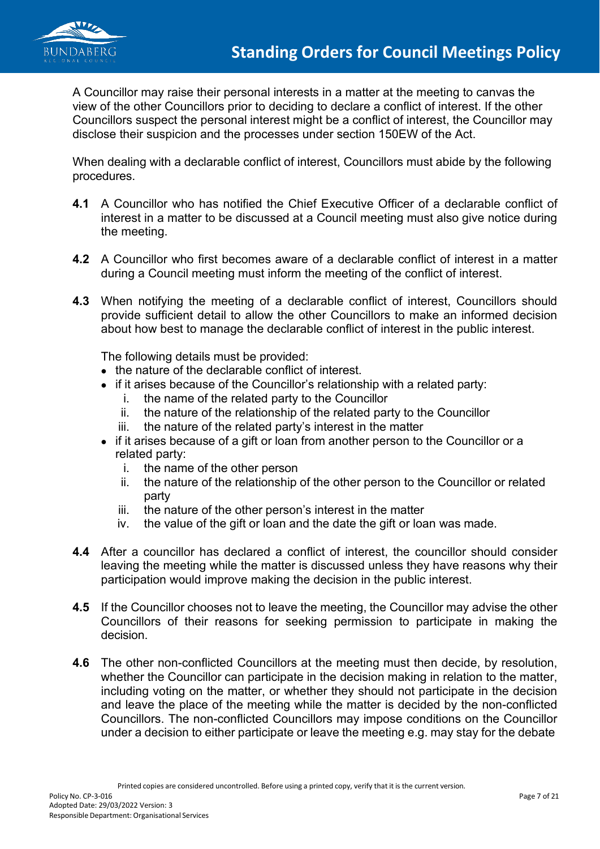

A Councillor may raise their personal interests in a matter at the meeting to canvas the view of the other Councillors prior to deciding to declare a conflict of interest. If the other Councillors suspect the personal interest might be a conflict of interest, the Councillor may disclose their suspicion and the processes under section 150EW of the Act.

When dealing with a declarable conflict of interest, Councillors must abide by the following procedures.

- **4.1** A Councillor who has notified the Chief Executive Officer of a declarable conflict of interest in a matter to be discussed at a Council meeting must also give notice during the meeting.
- **4.2** A Councillor who first becomes aware of a declarable conflict of interest in a matter during a Council meeting must inform the meeting of the conflict of interest.
- **4.3** When notifying the meeting of a declarable conflict of interest, Councillors should provide sufficient detail to allow the other Councillors to make an informed decision about how best to manage the declarable conflict of interest in the public interest.

The following details must be provided:

- the nature of the declarable conflict of interest.
- if it arises because of the Councillor's relationship with a related party:
	- i. the name of the related party to the Councillor
	- ii. the nature of the relationship of the related party to the Councillor
	- iii. the nature of the related party's interest in the matter
- if it arises because of a gift or loan from another person to the Councillor or a related party:
	- i. the name of the other person
	- ii. the nature of the relationship of the other person to the Councillor or related party
	- iii. the nature of the other person's interest in the matter
	- iv. the value of the gift or loan and the date the gift or loan was made.
- **4.4** After a councillor has declared a conflict of interest, the councillor should consider leaving the meeting while the matter is discussed unless they have reasons why their participation would improve making the decision in the public interest.
- **4.5** If the Councillor chooses not to leave the meeting, the Councillor may advise the other Councillors of their reasons for seeking permission to participate in making the decision.
- **4.6** The other non-conflicted Councillors at the meeting must then decide, by resolution, whether the Councillor can participate in the decision making in relation to the matter, including voting on the matter, or whether they should not participate in the decision and leave the place of the meeting while the matter is decided by the non-conflicted Councillors. The non-conflicted Councillors may impose conditions on the Councillor under a decision to either participate or leave the meeting e.g. may stay for the debate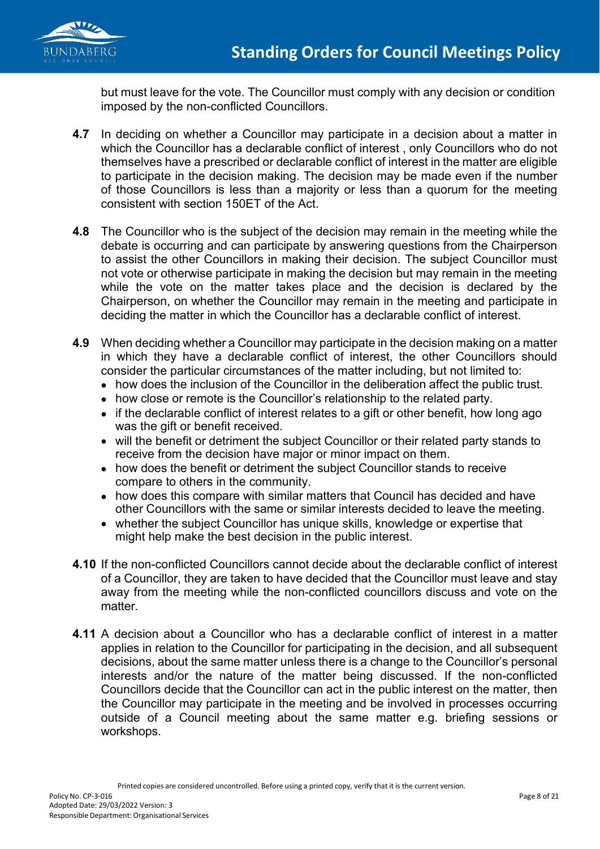

but must leave for the vote. The Councillor must comply with any decision or condition imposed by the non-conflicted Councillors.

- **4.7** In deciding on whether a Councillor may participate in a decision about a matter in which the Councillor has a declarable conflict of interest , only Councillors who do not themselves have a prescribed or declarable conflict of interest in the matter are eligible to participate in the decision making. The decision may be made even if the number of those Councillors is less than a majority or less than a quorum for the meeting consistent with section 150ET of the Act.
- **4.8** The Councillor who is the subject of the decision may remain in the meeting while the debate is occurring and can participate by answering questions from the Chairperson to assist the other Councillors in making their decision. The subject Councillor must not vote or otherwise participate in making the decision but may remain in the meeting while the vote on the matter takes place and the decision is declared by the Chairperson, on whether the Councillor may remain in the meeting and participate in deciding the matter in which the Councillor has a declarable conflict of interest.
- **4.9** When deciding whether a Councillor may participate in the decision making on a matter in which they have a declarable conflict of interest, the other Councillors should consider the particular circumstances of the matter including, but not limited to:
	- how does the inclusion of the Councillor in the deliberation affect the public trust.
	- how close or remote is the Councillor's relationship to the related party.
	- if the declarable conflict of interest relates to a gift or other benefit, how long ago was the gift or benefit received.
	- will the benefit or detriment the subject Councillor or their related party stands to receive from the decision have major or minor impact on them.
	- how does the benefit or detriment the subject Councillor stands to receive compare to others in the community.
	- how does this compare with similar matters that Council has decided and have other Councillors with the same or similar interests decided to leave the meeting.
	- whether the subject Councillor has unique skills, knowledge or expertise that might help make the best decision in the public interest.
- **4.10** If the non-conflicted Councillors cannot decide about the declarable conflict of interest of a Councillor, they are taken to have decided that the Councillor must leave and stay away from the meeting while the non-conflicted councillors discuss and vote on the matter.
- **4.11** A decision about a Councillor who has a declarable conflict of interest in a matter applies in relation to the Councillor for participating in the decision, and all subsequent decisions, about the same matter unless there is a change to the Councillor's personal interests and/or the nature of the matter being discussed. If the non-conflicted Councillors decide that the Councillor can act in the public interest on the matter, then the Councillor may participate in the meeting and be involved in processes occurring outside of a Council meeting about the same matter e.g. briefing sessions or workshops.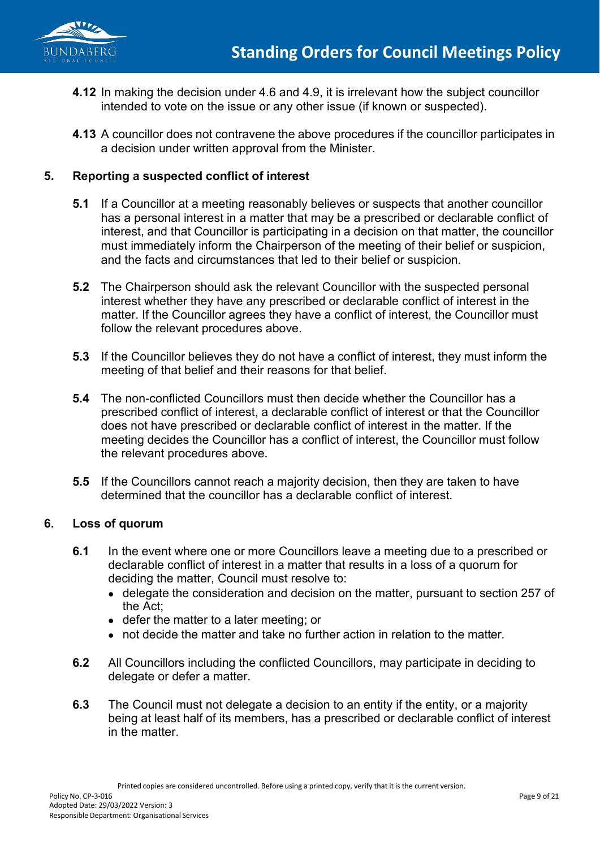

- **4.12** In making the decision under 4.6 and 4.9, it is irrelevant how the subject councillor intended to vote on the issue or any other issue (if known or suspected).
- **4.13** A councillor does not contravene the above procedures if the councillor participates in a decision under written approval from the Minister.

## **5. Reporting a suspected conflict of interest**

- **5.1** If a Councillor at a meeting reasonably believes or suspects that another councillor has a personal interest in a matter that may be a prescribed or declarable conflict of interest, and that Councillor is participating in a decision on that matter, the councillor must immediately inform the Chairperson of the meeting of their belief or suspicion, and the facts and circumstances that led to their belief or suspicion.
- **5.2** The Chairperson should ask the relevant Councillor with the suspected personal interest whether they have any prescribed or declarable conflict of interest in the matter. If the Councillor agrees they have a conflict of interest, the Councillor must follow the relevant procedures above.
- **5.3** If the Councillor believes they do not have a conflict of interest, they must inform the meeting of that belief and their reasons for that belief.
- **5.4** The non-conflicted Councillors must then decide whether the Councillor has a prescribed conflict of interest, a declarable conflict of interest or that the Councillor does not have prescribed or declarable conflict of interest in the matter. If the meeting decides the Councillor has a conflict of interest, the Councillor must follow the relevant procedures above.
- **5.5** If the Councillors cannot reach a majority decision, then they are taken to have determined that the councillor has a declarable conflict of interest.

### **6. Loss of quorum**

- **6.1** In the event where one or more Councillors leave a meeting due to a prescribed or declarable conflict of interest in a matter that results in a loss of a quorum for deciding the matter, Council must resolve to:
	- delegate the consideration and decision on the matter, pursuant to section 257 of the Act;
	- defer the matter to a later meeting; or
	- not decide the matter and take no further action in relation to the matter.
- **6.2** All Councillors including the conflicted Councillors, may participate in deciding to delegate or defer a matter.
- **6.3** The Council must not delegate a decision to an entity if the entity, or a majority being at least half of its members, has a prescribed or declarable conflict of interest in the matter.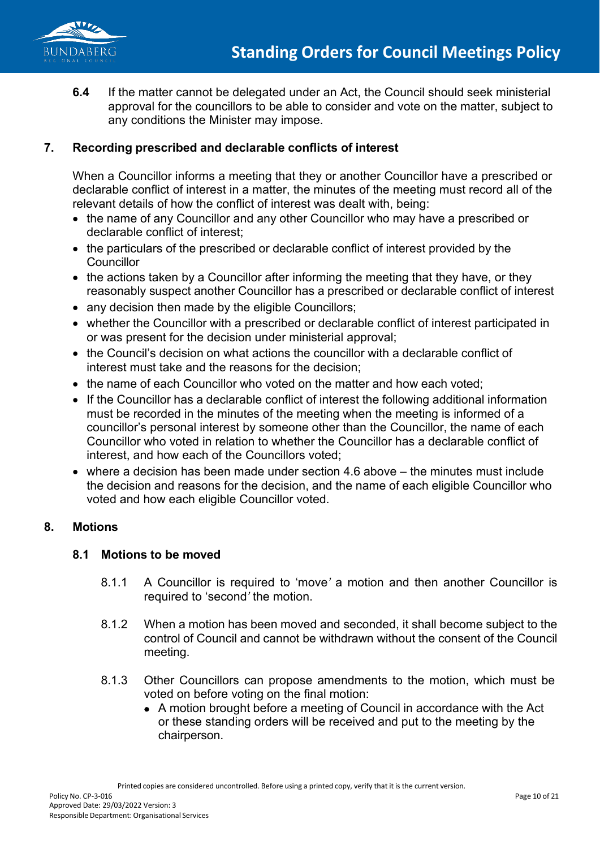

**6.4** If the matter cannot be delegated under an Act, the Council should seek ministerial approval for the councillors to be able to consider and vote on the matter, subject to any conditions the Minister may impose.

### **7. Recording prescribed and declarable conflicts of interest**

When a Councillor informs a meeting that they or another Councillor have a prescribed or declarable conflict of interest in a matter, the minutes of the meeting must record all of the relevant details of how the conflict of interest was dealt with, being:

- the name of any Councillor and any other Councillor who may have a prescribed or declarable conflict of interest;
- the particulars of the prescribed or declarable conflict of interest provided by the **Councillor**
- the actions taken by a Councillor after informing the meeting that they have, or they reasonably suspect another Councillor has a prescribed or declarable conflict of interest
- any decision then made by the eligible Councillors;
- whether the Councillor with a prescribed or declarable conflict of interest participated in or was present for the decision under ministerial approval;
- the Council's decision on what actions the councillor with a declarable conflict of interest must take and the reasons for the decision;
- the name of each Councillor who voted on the matter and how each voted:
- If the Councillor has a declarable conflict of interest the following additional information must be recorded in the minutes of the meeting when the meeting is informed of a councillor's personal interest by someone other than the Councillor, the name of each Councillor who voted in relation to whether the Councillor has a declarable conflict of interest, and how each of the Councillors voted;
- where a decision has been made under section 4.6 above the minutes must include the decision and reasons for the decision, and the name of each eligible Councillor who voted and how each eligible Councillor voted.

### **8. Motions**

### **8.1 Motions to be moved**

- 8.1.1 A Councillor is required to 'move*'* a motion and then another Councillor is required to 'second*'* the motion.
- 8.1.2 When a motion has been moved and seconded, it shall become subject to the control of Council and cannot be withdrawn without the consent of the Council meeting.
- 8.1.3 Other Councillors can propose amendments to the motion, which must be voted on before voting on the final motion:
	- A motion brought before a meeting of Council in accordance with the Act or these standing orders will be received and put to the meeting by the chairperson.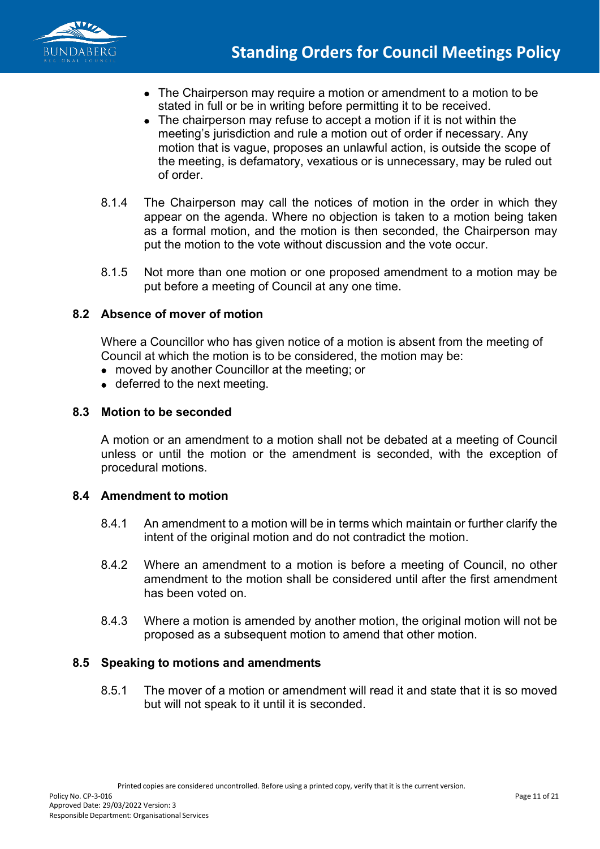

- The Chairperson may require a motion or amendment to a motion to be stated in full or be in writing before permitting it to be received.
- The chairperson may refuse to accept a motion if it is not within the meeting's jurisdiction and rule a motion out of order if necessary. Any motion that is vague, proposes an unlawful action, is outside the scope of the meeting, is defamatory, vexatious or is unnecessary, may be ruled out of order.
- 8.1.4 The Chairperson may call the notices of motion in the order in which they appear on the agenda. Where no objection is taken to a motion being taken as a formal motion, and the motion is then seconded, the Chairperson may put the motion to the vote without discussion and the vote occur.
- 8.1.5 Not more than one motion or one proposed amendment to a motion may be put before a meeting of Council at any one time.

### **8.2 Absence of mover of motion**

Where a Councillor who has given notice of a motion is absent from the meeting of Council at which the motion is to be considered, the motion may be:

- moved by another Councillor at the meeting; or
- deferred to the next meeting.

### **8.3 Motion to be seconded**

A motion or an amendment to a motion shall not be debated at a meeting of Council unless or until the motion or the amendment is seconded, with the exception of procedural motions.

### **8.4 Amendment to motion**

- 8.4.1 An amendment to a motion will be in terms which maintain or further clarify the intent of the original motion and do not contradict the motion.
- 8.4.2 Where an amendment to a motion is before a meeting of Council, no other amendment to the motion shall be considered until after the first amendment has been voted on.
- 8.4.3 Where a motion is amended by another motion, the original motion will not be proposed as a subsequent motion to amend that other motion.

### **8.5 Speaking to motions and amendments**

8.5.1 The mover of a motion or amendment will read it and state that it is so moved but will not speak to it until it is seconded.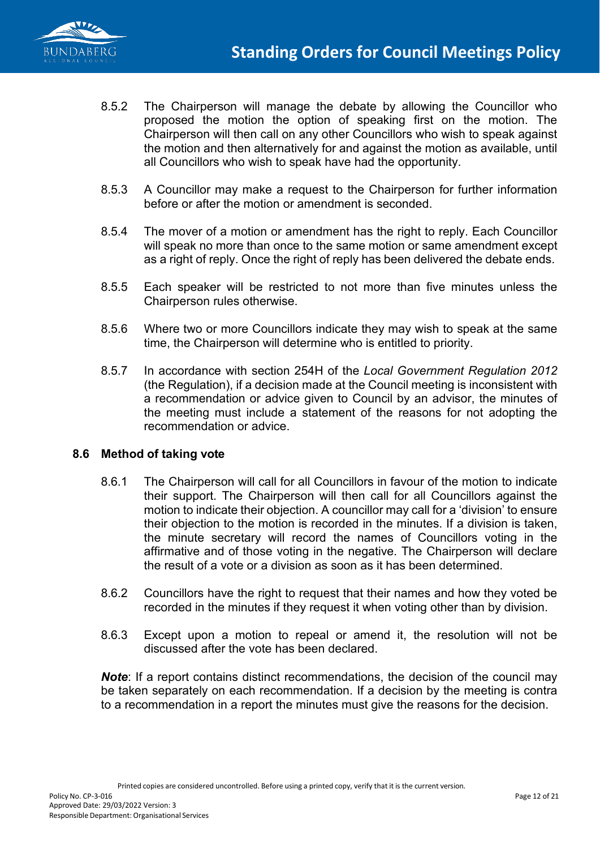

- 8.5.2 The Chairperson will manage the debate by allowing the Councillor who proposed the motion the option of speaking first on the motion. The Chairperson will then call on any other Councillors who wish to speak against the motion and then alternatively for and against the motion as available, until all Councillors who wish to speak have had the opportunity.
- 8.5.3 A Councillor may make a request to the Chairperson for further information before or after the motion or amendment is seconded.
- 8.5.4 The mover of a motion or amendment has the right to reply. Each Councillor will speak no more than once to the same motion or same amendment except as a right of reply. Once the right of reply has been delivered the debate ends.
- 8.5.5 Each speaker will be restricted to not more than five minutes unless the Chairperson rules otherwise.
- 8.5.6 Where two or more Councillors indicate they may wish to speak at the same time, the Chairperson will determine who is entitled to priority.
- 8.5.7 In accordance with section 254H of the *Local Government Regulation 2012*  (the Regulation), if a decision made at the Council meeting is inconsistent with a recommendation or advice given to Council by an advisor, the minutes of the meeting must include a statement of the reasons for not adopting the recommendation or advice.

### **8.6 Method of taking vote**

- 8.6.1 The Chairperson will call for all Councillors in favour of the motion to indicate their support. The Chairperson will then call for all Councillors against the motion to indicate their objection. A councillor may call for a 'division' to ensure their objection to the motion is recorded in the minutes. If a division is taken, the minute secretary will record the names of Councillors voting in the affirmative and of those voting in the negative. The Chairperson will declare the result of a vote or a division as soon as it has been determined.
- 8.6.2 Councillors have the right to request that their names and how they voted be recorded in the minutes if they request it when voting other than by division.
- 8.6.3 Except upon a motion to repeal or amend it, the resolution will not be discussed after the vote has been declared.

*Note*: If a report contains distinct recommendations, the decision of the council may be taken separately on each recommendation. If a decision by the meeting is contra to a recommendation in a report the minutes must give the reasons for the decision.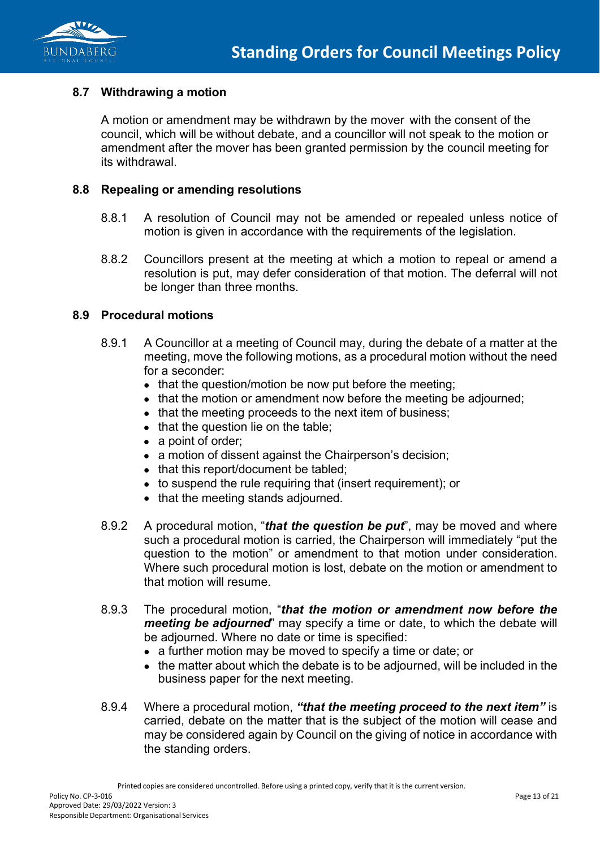

#### **8.7 Withdrawing a motion**

A motion or amendment may be withdrawn by the mover with the consent of the council, which will be without debate, and a councillor will not speak to the motion or amendment after the mover has been granted permission by the council meeting for its withdrawal.

#### **8.8 Repealing or amending resolutions**

- 8.8.1 A resolution of Council may not be amended or repealed unless notice of motion is given in accordance with the requirements of the legislation.
- 8.8.2 Councillors present at the meeting at which a motion to repeal or amend a resolution is put, may defer consideration of that motion. The deferral will not be longer than three months.

#### **8.9 Procedural motions**

- 8.9.1 A Councillor at a meeting of Council may, during the debate of a matter at the meeting, move the following motions, as a procedural motion without the need for a seconder:
	- that the question/motion be now put before the meeting;
	- that the motion or amendment now before the meeting be adjourned;
	- that the meeting proceeds to the next item of business;
	- that the question lie on the table;
	- a point of order;
	- a motion of dissent against the Chairperson's decision;
	- that this report/document be tabled;
	- to suspend the rule requiring that (insert requirement); or
	- that the meeting stands adjourned.
- 8.9.2 A procedural motion, "*that the question be put*", may be moved and where such a procedural motion is carried, the Chairperson will immediately "put the question to the motion" or amendment to that motion under consideration. Where such procedural motion is lost, debate on the motion or amendment to that motion will resume.
- 8.9.3 The procedural motion, "*that the motion or amendment now before the meeting be adjourned*" may specify a time or date, to which the debate will be adjourned. Where no date or time is specified:
	- a further motion may be moved to specify a time or date; or
	- the matter about which the debate is to be adjourned, will be included in the business paper for the next meeting.
- 8.9.4 Where a procedural motion, *"that the meeting proceed to the next item"* is carried, debate on the matter that is the subject of the motion will cease and may be considered again by Council on the giving of notice in accordance with the standing orders.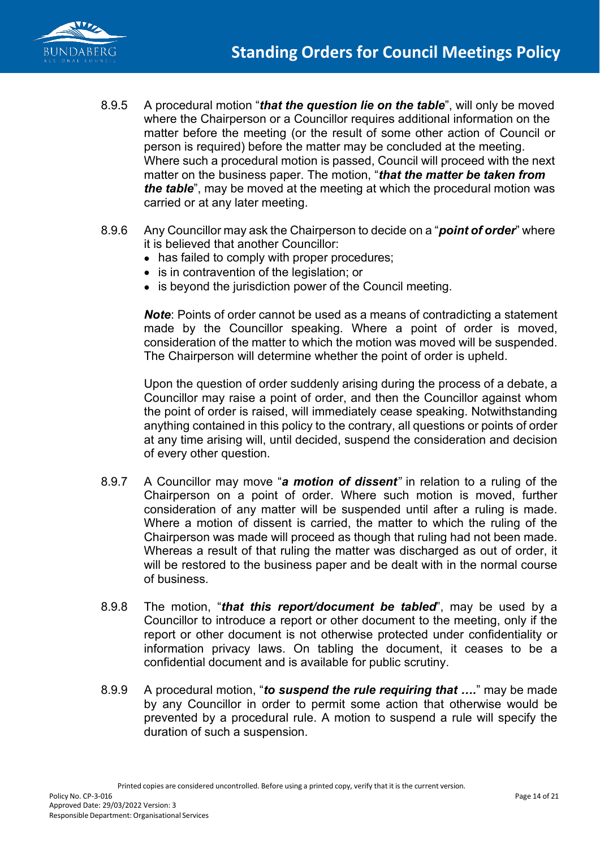

- 8.9.5 A procedural motion "*that the question lie on the table*", will only be moved where the Chairperson or a Councillor requires additional information on the matter before the meeting (or the result of some other action of Council or person is required) before the matter may be concluded at the meeting. Where such a procedural motion is passed, Council will proceed with the next matter on the business paper. The motion, "*that the matter be taken from the table*", may be moved at the meeting at which the procedural motion was carried or at any later meeting.
- 8.9.6 Any Councillor may ask the Chairperson to decide on a "*point of order*" where it is believed that another Councillor:
	- has failed to comply with proper procedures;
	- is in contravention of the legislation; or
	- is beyond the jurisdiction power of the Council meeting.

*Note*: Points of order cannot be used as a means of contradicting a statement made by the Councillor speaking. Where a point of order is moved, consideration of the matter to which the motion was moved will be suspended. The Chairperson will determine whether the point of order is upheld.

Upon the question of order suddenly arising during the process of a debate, a Councillor may raise a point of order, and then the Councillor against whom the point of order is raised, will immediately cease speaking. Notwithstanding anything contained in this policy to the contrary, all questions or points of order at any time arising will, until decided, suspend the consideration and decision of every other question.

- 8.9.7 A Councillor may move "*a motion of dissent"* in relation to a ruling of the Chairperson on a point of order. Where such motion is moved, further consideration of any matter will be suspended until after a ruling is made. Where a motion of dissent is carried, the matter to which the ruling of the Chairperson was made will proceed as though that ruling had not been made. Whereas a result of that ruling the matter was discharged as out of order, it will be restored to the business paper and be dealt with in the normal course of business.
- 8.9.8 The motion, "*that this report/document be tabled*", may be used by a Councillor to introduce a report or other document to the meeting, only if the report or other document is not otherwise protected under confidentiality or information privacy laws. On tabling the document, it ceases to be a confidential document and is available for public scrutiny.
- 8.9.9 A procedural motion, "*to suspend the rule requiring that ….*" may be made by any Councillor in order to permit some action that otherwise would be prevented by a procedural rule. A motion to suspend a rule will specify the duration of such a suspension.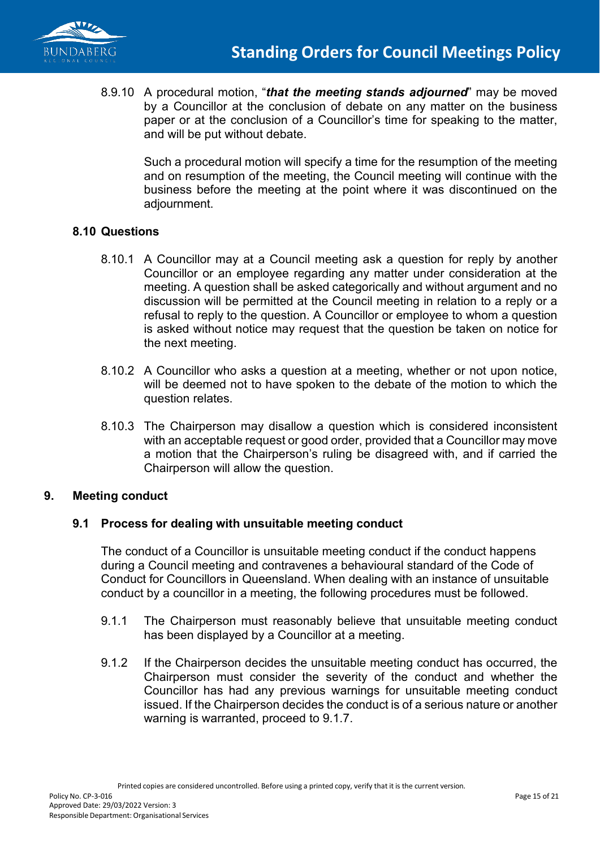

8.9.10 A procedural motion, "*that the meeting stands adjourned*" may be moved by a Councillor at the conclusion of debate on any matter on the business paper or at the conclusion of a Councillor's time for speaking to the matter, and will be put without debate.

Such a procedural motion will specify a time for the resumption of the meeting and on resumption of the meeting, the Council meeting will continue with the business before the meeting at the point where it was discontinued on the adjournment.

#### **8.10 Questions**

- 8.10.1 A Councillor may at a Council meeting ask a question for reply by another Councillor or an employee regarding any matter under consideration at the meeting. A question shall be asked categorically and without argument and no discussion will be permitted at the Council meeting in relation to a reply or a refusal to reply to the question. A Councillor or employee to whom a question is asked without notice may request that the question be taken on notice for the next meeting.
- 8.10.2 A Councillor who asks a question at a meeting, whether or not upon notice, will be deemed not to have spoken to the debate of the motion to which the question relates.
- 8.10.3 The Chairperson may disallow a question which is considered inconsistent with an acceptable request or good order, provided that a Councillor may move a motion that the Chairperson's ruling be disagreed with, and if carried the Chairperson will allow the question.

#### **9. Meeting conduct**

### **9.1 Process for dealing with unsuitable meeting conduct**

The conduct of a Councillor is unsuitable meeting conduct if the conduct happens during a Council meeting and contravenes a behavioural standard of the Code of Conduct for Councillors in Queensland. When dealing with an instance of unsuitable conduct by a councillor in a meeting, the following procedures must be followed.

- 9.1.1 The Chairperson must reasonably believe that unsuitable meeting conduct has been displayed by a Councillor at a meeting.
- 9.1.2 If the Chairperson decides the unsuitable meeting conduct has occurred, the Chairperson must consider the severity of the conduct and whether the Councillor has had any previous warnings for unsuitable meeting conduct issued. If the Chairperson decides the conduct is of a serious nature or another warning is warranted, proceed to 9.1.7.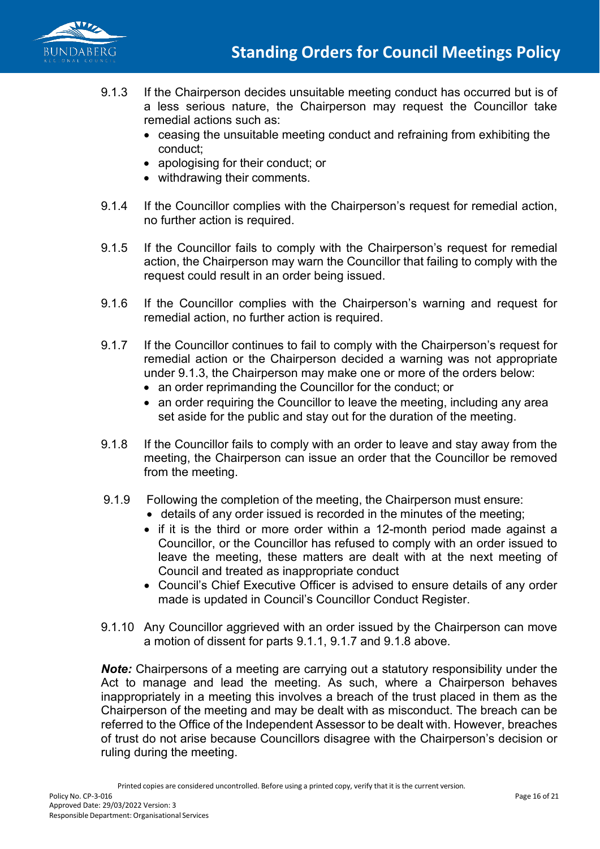

- 9.1.3 If the Chairperson decides unsuitable meeting conduct has occurred but is of a less serious nature, the Chairperson may request the Councillor take remedial actions such as:
	- ceasing the unsuitable meeting conduct and refraining from exhibiting the conduct;
	- apologising for their conduct; or
	- withdrawing their comments.
- 9.1.4 If the Councillor complies with the Chairperson's request for remedial action, no further action is required.
- 9.1.5 If the Councillor fails to comply with the Chairperson's request for remedial action, the Chairperson may warn the Councillor that failing to comply with the request could result in an order being issued.
- 9.1.6 If the Councillor complies with the Chairperson's warning and request for remedial action, no further action is required.
- 9.1.7 If the Councillor continues to fail to comply with the Chairperson's request for remedial action or the Chairperson decided a warning was not appropriate under 9.1.3, the Chairperson may make one or more of the orders below:
	- an order reprimanding the Councillor for the conduct; or
	- an order requiring the Councillor to leave the meeting, including any area set aside for the public and stay out for the duration of the meeting.
- 9.1.8 If the Councillor fails to comply with an order to leave and stay away from the meeting, the Chairperson can issue an order that the Councillor be removed from the meeting.
- 9.1.9 Following the completion of the meeting, the Chairperson must ensure:
	- details of any order issued is recorded in the minutes of the meeting;
	- if it is the third or more order within a 12-month period made against a Councillor, or the Councillor has refused to comply with an order issued to leave the meeting, these matters are dealt with at the next meeting of Council and treated as inappropriate conduct
	- Council's Chief Executive Officer is advised to ensure details of any order made is updated in Council's Councillor Conduct Register.
- 9.1.10 Any Councillor aggrieved with an order issued by the Chairperson can move a motion of dissent for parts 9.1.1, 9.1.7 and 9.1.8 above.

*Note:* Chairpersons of a meeting are carrying out a statutory responsibility under the Act to manage and lead the meeting. As such, where a Chairperson behaves inappropriately in a meeting this involves a breach of the trust placed in them as the Chairperson of the meeting and may be dealt with as misconduct. The breach can be referred to the Office of the Independent Assessor to be dealt with. However, breaches of trust do not arise because Councillors disagree with the Chairperson's decision or ruling during the meeting.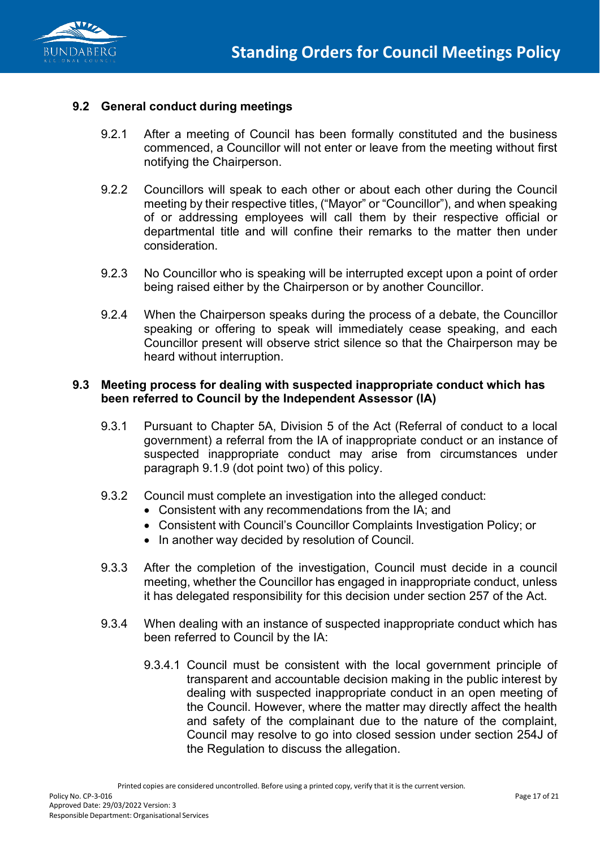

#### **9.2 General conduct during meetings**

- 9.2.1 After a meeting of Council has been formally constituted and the business commenced, a Councillor will not enter or leave from the meeting without first notifying the Chairperson.
- 9.2.2 Councillors will speak to each other or about each other during the Council meeting by their respective titles, ("Mayor" or "Councillor"), and when speaking of or addressing employees will call them by their respective official or departmental title and will confine their remarks to the matter then under consideration.
- 9.2.3 No Councillor who is speaking will be interrupted except upon a point of order being raised either by the Chairperson or by another Councillor.
- 9.2.4 When the Chairperson speaks during the process of a debate, the Councillor speaking or offering to speak will immediately cease speaking, and each Councillor present will observe strict silence so that the Chairperson may be heard without interruption.

#### **9.3 Meeting process for dealing with suspected inappropriate conduct which has been referred to Council by the Independent Assessor (IA)**

- 9.3.1 Pursuant to Chapter 5A, Division 5 of the Act (Referral of conduct to a local government) a referral from the IA of inappropriate conduct or an instance of suspected inappropriate conduct may arise from circumstances under paragraph 9.1.9 (dot point two) of this policy.
- 9.3.2 Council must complete an investigation into the alleged conduct:
	- Consistent with any recommendations from the IA; and
	- Consistent with Council's Councillor Complaints Investigation Policy; or
	- In another way decided by resolution of Council.
- 9.3.3 After the completion of the investigation, Council must decide in a council meeting, whether the Councillor has engaged in inappropriate conduct, unless it has delegated responsibility for this decision under section 257 of the Act.
- 9.3.4 When dealing with an instance of suspected inappropriate conduct which has been referred to Council by the IA:
	- 9.3.4.1 Council must be consistent with the local government principle of transparent and accountable decision making in the public interest by dealing with suspected inappropriate conduct in an open meeting of the Council. However, where the matter may directly affect the health and safety of the complainant due to the nature of the complaint, Council may resolve to go into closed session under section 254J of the Regulation to discuss the allegation.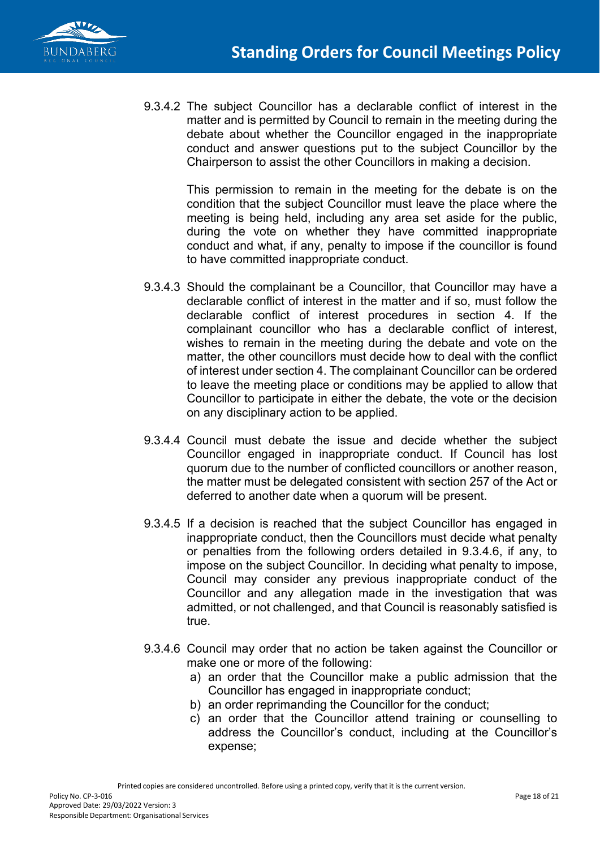

9.3.4.2 The subject Councillor has a declarable conflict of interest in the matter and is permitted by Council to remain in the meeting during the debate about whether the Councillor engaged in the inappropriate conduct and answer questions put to the subject Councillor by the Chairperson to assist the other Councillors in making a decision.

> This permission to remain in the meeting for the debate is on the condition that the subject Councillor must leave the place where the meeting is being held, including any area set aside for the public, during the vote on whether they have committed inappropriate conduct and what, if any, penalty to impose if the councillor is found to have committed inappropriate conduct.

- 9.3.4.3 Should the complainant be a Councillor, that Councillor may have a declarable conflict of interest in the matter and if so, must follow the declarable conflict of interest procedures in section 4. If the complainant councillor who has a declarable conflict of interest, wishes to remain in the meeting during the debate and vote on the matter, the other councillors must decide how to deal with the conflict of interest under section 4. The complainant Councillor can be ordered to leave the meeting place or conditions may be applied to allow that Councillor to participate in either the debate, the vote or the decision on any disciplinary action to be applied.
- 9.3.4.4 Council must debate the issue and decide whether the subject Councillor engaged in inappropriate conduct. If Council has lost quorum due to the number of conflicted councillors or another reason, the matter must be delegated consistent with section 257 of the Act or deferred to another date when a quorum will be present.
- 9.3.4.5 If a decision is reached that the subject Councillor has engaged in inappropriate conduct, then the Councillors must decide what penalty or penalties from the following orders detailed in 9.3.4.6, if any, to impose on the subject Councillor. In deciding what penalty to impose, Council may consider any previous inappropriate conduct of the Councillor and any allegation made in the investigation that was admitted, or not challenged, and that Council is reasonably satisfied is true.
- 9.3.4.6 Council may order that no action be taken against the Councillor or make one or more of the following:
	- a) an order that the Councillor make a public admission that the Councillor has engaged in inappropriate conduct;
	- b) an order reprimanding the Councillor for the conduct;
	- c) an order that the Councillor attend training or counselling to address the Councillor's conduct, including at the Councillor's expense;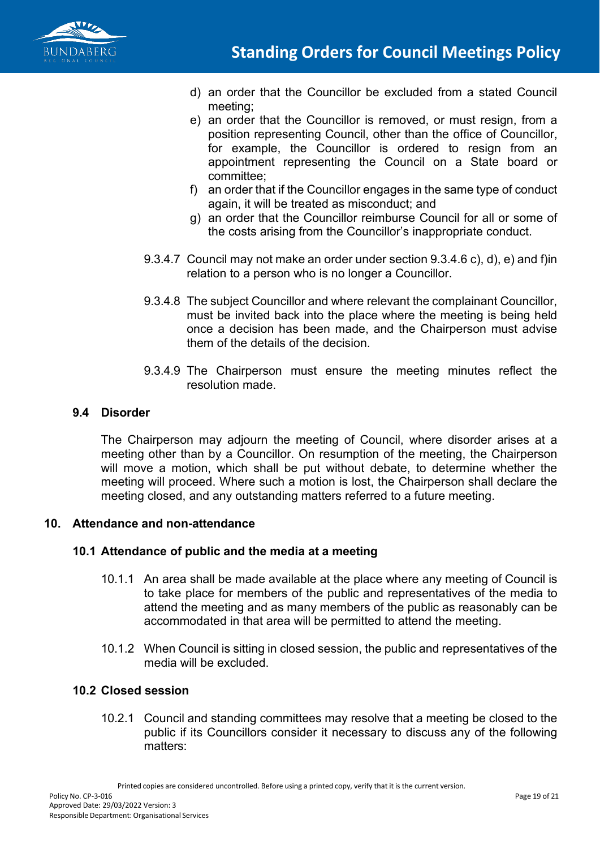

- d) an order that the Councillor be excluded from a stated Council meeting;
- e) an order that the Councillor is removed, or must resign, from a position representing Council, other than the office of Councillor, for example, the Councillor is ordered to resign from an appointment representing the Council on a State board or committee;
- f) an order that if the Councillor engages in the same type of conduct again, it will be treated as misconduct; and
- g) an order that the Councillor reimburse Council for all or some of the costs arising from the Councillor's inappropriate conduct.
- 9.3.4.7 Council may not make an order under section 9.3.4.6 c), d), e) and f)in relation to a person who is no longer a Councillor.
- 9.3.4.8 The subject Councillor and where relevant the complainant Councillor, must be invited back into the place where the meeting is being held once a decision has been made, and the Chairperson must advise them of the details of the decision.
- 9.3.4.9 The Chairperson must ensure the meeting minutes reflect the resolution made.

### **9.4 Disorder**

The Chairperson may adjourn the meeting of Council, where disorder arises at a meeting other than by a Councillor. On resumption of the meeting, the Chairperson will move a motion, which shall be put without debate, to determine whether the meeting will proceed. Where such a motion is lost, the Chairperson shall declare the meeting closed, and any outstanding matters referred to a future meeting.

### **10. Attendance and non-attendance**

### **10.1 Attendance of public and the media at a meeting**

- 10.1.1 An area shall be made available at the place where any meeting of Council is to take place for members of the public and representatives of the media to attend the meeting and as many members of the public as reasonably can be accommodated in that area will be permitted to attend the meeting.
- 10.1.2 When Council is sitting in closed session, the public and representatives of the media will be excluded.

### **10.2 Closed session**

10.2.1 Council and standing committees may resolve that a meeting be closed to the public if its Councillors consider it necessary to discuss any of the following matters: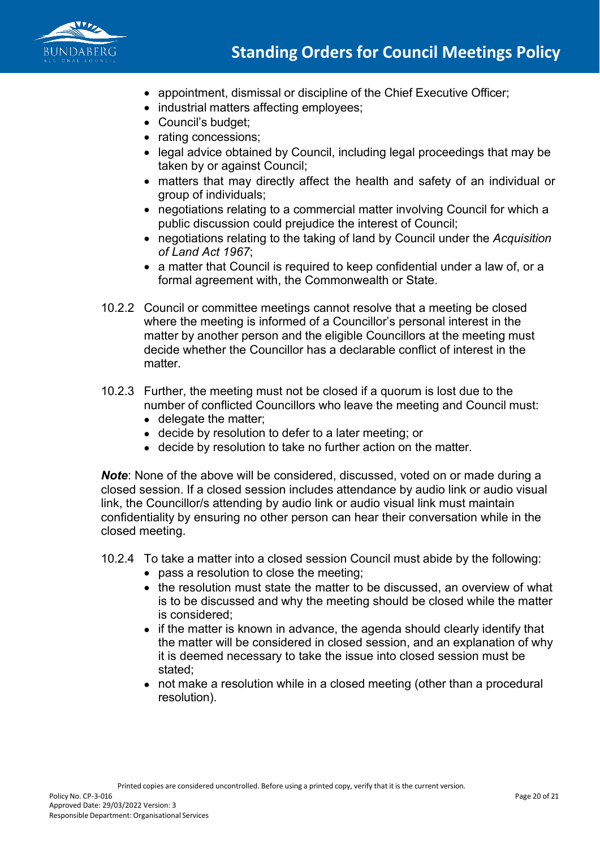

- appointment, dismissal or discipline of the Chief Executive Officer;
- industrial matters affecting employees;
- Council's budget;
- rating concessions;
- legal advice obtained by Council, including legal proceedings that may be taken by or against Council;
- matters that may directly affect the health and safety of an individual or group of individuals;
- negotiations relating to a commercial matter involving Council for which a public discussion could prejudice the interest of Council;
- negotiations relating to the taking of land by Council under the *Acquisition of Land Act 1967*;
- a matter that Council is required to keep confidential under a law of, or a formal agreement with, the Commonwealth or State.
- 10.2.2 Council or committee meetings cannot resolve that a meeting be closed where the meeting is informed of a Councillor's personal interest in the matter by another person and the eligible Councillors at the meeting must decide whether the Councillor has a declarable conflict of interest in the matter.
- 10.2.3 Further, the meeting must not be closed if a quorum is lost due to the number of conflicted Councillors who leave the meeting and Council must: • delegate the matter;
	- decide by resolution to defer to a later meeting; or
	- decide by resolution to take no further action on the matter.

*Note*: None of the above will be considered, discussed, voted on or made during a closed session. If a closed session includes attendance by audio link or audio visual link, the Councillor/s attending by audio link or audio visual link must maintain confidentiality by ensuring no other person can hear their conversation while in the closed meeting.

- 10.2.4 To take a matter into a closed session Council must abide by the following:
	- pass a resolution to close the meeting;
	- the resolution must state the matter to be discussed, an overview of what is to be discussed and why the meeting should be closed while the matter is considered;
	- if the matter is known in advance, the agenda should clearly identify that the matter will be considered in closed session, and an explanation of why it is deemed necessary to take the issue into closed session must be stated;
	- not make a resolution while in a closed meeting (other than a procedural resolution).